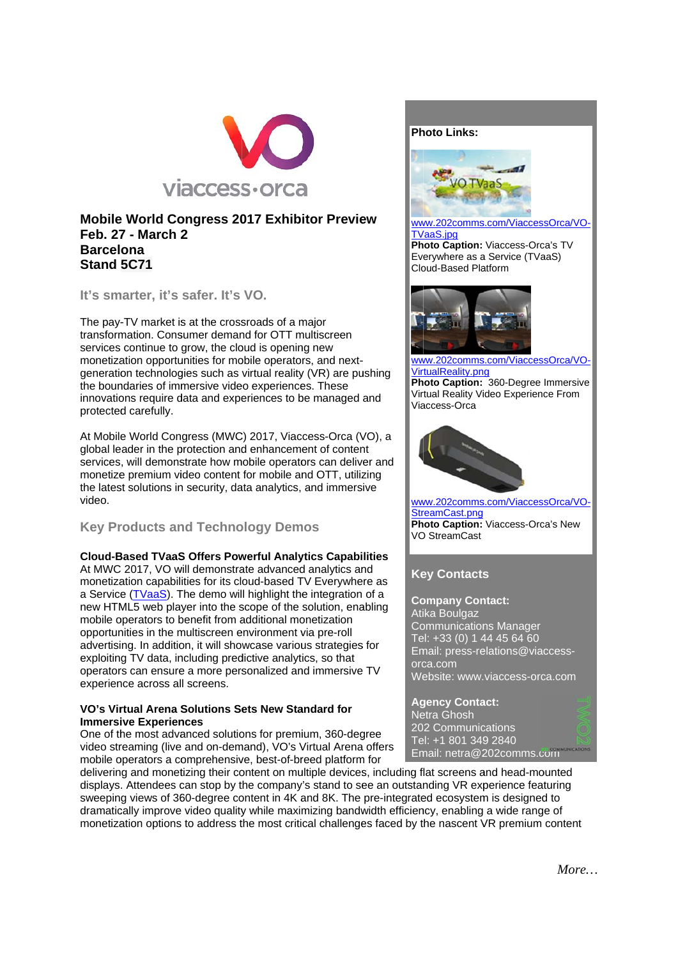

### **Mobile World Congress 2017 Exhibitor Preview Feb. 27 - March 2 Barcelona** Stand 5C71

It's smarter, it's safer. It's VO.

The pay-TV market is at the crossroads of a major transformation. Consumer demand for OTT multiscreen services continue to grow, the cloud is opening new monetization opportunities for mobile operators, and nextgeneration technologies such as virtual reality (VR) are pushing the boundaries of immersive video experiences. These innovations require data and experiences to be managed and protected carefully.

At Mobile World Congress (MWC) 2017, Viaccess-Orca (VO), a global leader in the protection and enhancement of content services, will demonstrate how mobile operators can deliver and monetize premium video content for mobile and OTT, utilizing the latest solutions in security, data analytics, and immersive video.

# **Key Products and Technology Demos**

### **Cloud-Based TVaaS Offers Powerful Analytics Capabilities**

At MWC 2017, VO will demonstrate advanced analytics and monetization capabilities for its cloud-based TV Everywhere as a Service (TVaaS). The demo will highlight the integration of a new HTML5 web player into the scope of the solution, enabling mobile operators to benefit from additional monetization opportunities in the multiscreen environment via pre-roll advertising. In addition, it will showcase various strategies for exploiting TV data, including predictive analytics, so that operators can ensure a more personalized and immersive TV experience across all screens.

### VO's Virtual Arena Solutions Sets New Standard for **Immersive Experiences**

One of the most advanced solutions for premium, 360-degree video streaming (live and on-demand). VO's Virtual Arena offers mobile operators a comprehensive, best-of-breed platform for

delivering and monetizing their content on multiple devices, including flat screens and head-mounted displays. Attendees can stop by the company's stand to see an outstanding VR experience featuring sweeping views of 360-degree content in 4K and 8K. The pre-integrated ecosystem is designed to dramatically improve video quality while maximizing bandwidth efficiency, enabling a wide range of monetization options to address the most critical challenges faced by the nascent VR premium content



#### www.202comms.com/ViaccessOrca/VO-**TVaaS.ipg** Photo Caption: Viaccess-Orca's TV Everywhere as a Service (TVaaS) Cloud-Based Platform



www.202comms.com/ViaccessOrca/VO-VirtualReality.png Photo Caption: 360-Degree Immersive Virtual Reality Video Experience From Viaccess-Orca



www.202comms.com/ViaccessOrca/VO-StreamCast.png **Photo Caption: Viaccess-Orca's New VO StreamCast** 

# **Kev Contacts**

**Company Contact:** Atika Boulgaz Communications Manager Tel: +33 (0) 1 44 45 64 60 Email: press-relations@viaccessorca.com Website: www.viaccess-orca.com

**Agency Contact:** Netra Ghosh 202 Communications Tel: +1 801 349 2840 Email: netra@202comms.com